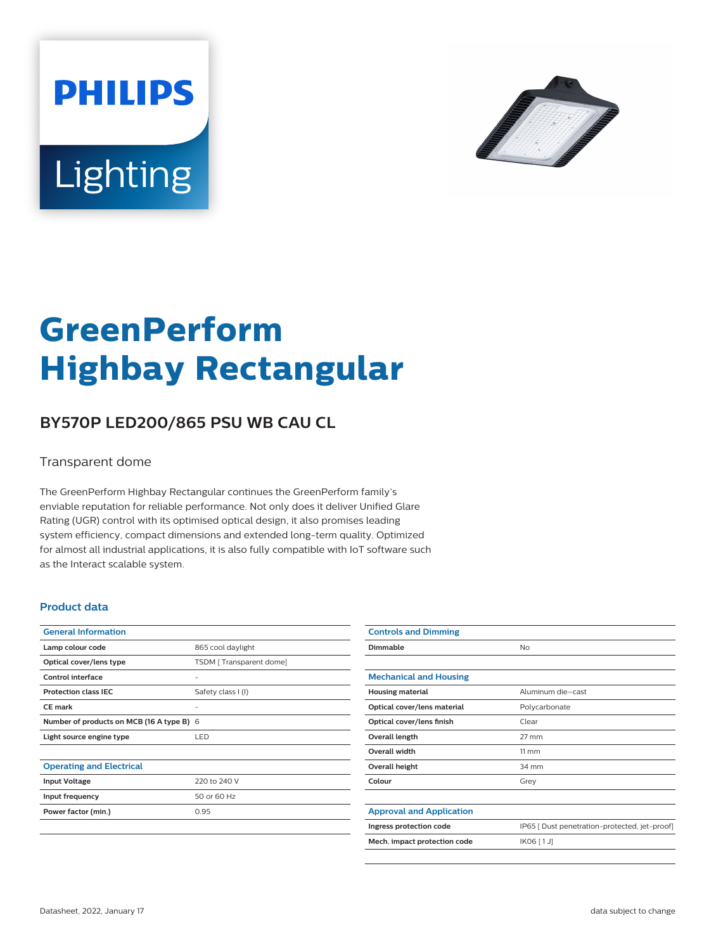



# **GreenPerform Highbay Rectangular**

## **BY570P LED200/865 PSU WB CAU CL**

#### Transparent dome

The GreenPerform Highbay Rectangular continues the GreenPerform family's enviable reputation for reliable performance. Not only does it deliver Unified Glare Rating (UGR) control with its optimised optical design, it also promises leading system efficiency, compact dimensions and extended long-term quality. Optimized for almost all industrial applications, it is also fully compatible with IoT software such as the Interact scalable system.

#### **Product data**

| <b>General Information</b>                |                         |
|-------------------------------------------|-------------------------|
| Lamp colour code                          | 865 cool daylight       |
| Optical cover/lens type                   | TSDM [Transparent dome] |
| Control interface                         |                         |
| <b>Protection class IEC</b>               | Safety class I (I)      |
| CF mark                                   |                         |
| Number of products on MCB (16 A type B) 6 |                         |
| Light source engine type                  | LED                     |
|                                           |                         |
| <b>Operating and Electrical</b>           |                         |
| <b>Input Voltage</b>                      | 220 to 240 V            |
| Input frequency                           | 50 or 60 Hz             |
| Power factor (min.)                       | 0.95                    |
|                                           |                         |

| <b>Controls and Dimming</b>     |                                               |
|---------------------------------|-----------------------------------------------|
| Dimmable                        | No                                            |
|                                 |                                               |
| <b>Mechanical and Housing</b>   |                                               |
| <b>Housing material</b>         | Aluminum die-cast                             |
| Optical cover/lens material     | Polycarbonate                                 |
| Optical cover/lens finish       | Clear                                         |
| Overall length                  | $27$ mm                                       |
| Overall width                   | $11 \, \mathrm{mm}$                           |
| Overall height                  | 34 mm                                         |
| Colour                          | Grey                                          |
|                                 |                                               |
| <b>Approval and Application</b> |                                               |
| Ingress protection code         | IP65 [ Dust penetration-protected, jet-proof] |
| Mech. impact protection code    | IK06 [1J]                                     |
|                                 |                                               |